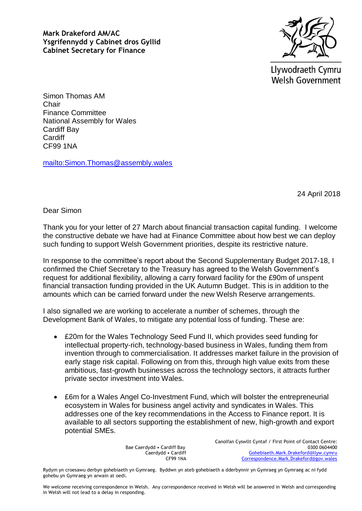**Mark Drakeford AM/AC Ysgrifennydd y Cabinet dros Gyllid Cabinet Secretary for Finance**



Llywodraeth Cymru **Welsh Government** 

Simon Thomas AM Chair Finance Committee National Assembly for Wales Cardiff Bay **Cardiff** CF99 1NA

<mailto:Simon.Thomas@assembly.wales>

24 April 2018

Dear Simon

Thank you for your letter of 27 March about financial transaction capital funding. I welcome the constructive debate we have had at Finance Committee about how best we can deploy such funding to support Welsh Government priorities, despite its restrictive nature.

In response to the committee's report about the Second Supplementary Budget 2017-18, I confirmed the Chief Secretary to the Treasury has agreed to the Welsh Government's request for additional flexibility, allowing a carry forward facility for the £90m of unspent financial transaction funding provided in the UK Autumn Budget. This is in addition to the amounts which can be carried forward under the new Welsh Reserve arrangements.

I also signalled we are working to accelerate a number of schemes, through the Development Bank of Wales, to mitigate any potential loss of funding. These are:

- £20m for the Wales Technology Seed Fund II, which provides seed funding for intellectual property-rich, technology-based business in Wales, funding them from invention through to commercialisation. It addresses market failure in the provision of early stage risk capital. Following on from this, through high value exits from these ambitious, fast-growth businesses across the technology sectors, it attracts further private sector investment into Wales.
- £6m for a Wales Angel Co-Investment Fund, which will bolster the entrepreneurial ecosystem in Wales for business angel activity and syndicates in Wales. This addresses one of the key recommendations in the Access to Finance report. It is available to all sectors supporting the establishment of new, high-growth and export potential SMEs.

Bae Caerdydd • Cardiff Bay Caerdydd • Cardiff CF99 1NA Canolfan Cyswllt Cyntaf / First Point of Contact Centre: 0300 0604400 [Gohebiaeth.Mark.Drakeford@llyw.cymru](mailto:Gohebiaeth.Mark.Drakeford@llyw.cymru) [Correspondence.Mark.Drakeford@gov.wales](mailto:Correspondence.Mark.Drakeford@gov.wales)

Rydym yn croesawu derbyn gohebiaeth yn Gymraeg. Byddwn yn ateb gohebiaeth a dderbynnir yn Gymraeg yn Gymraeg ac ni fydd gohebu yn Gymraeg yn arwain at oedi.